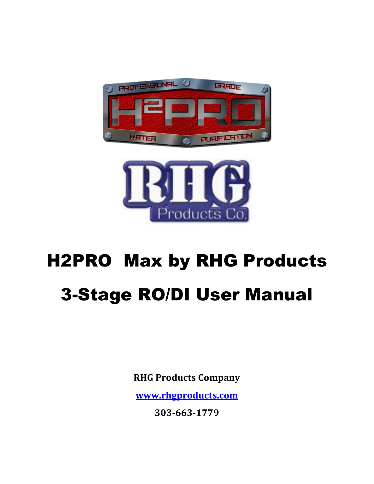



# H2PRO Max by RHG Products 3-Stage RO/DI User Manual

**RHG Products Company**

**[www.rhgproducts.com](http://www.rhgproducts.com/)**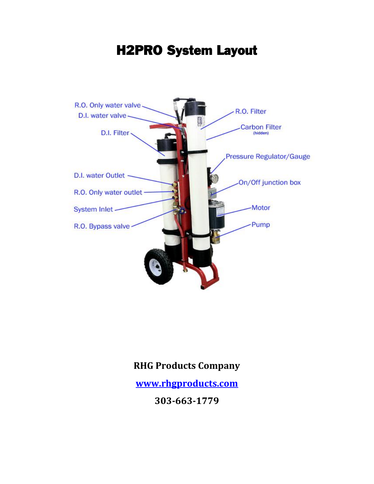

H2PRO System Layout

#### **RHG Products Company**

**[www.rhgproducts.com](http://www.rhgproducts.com/)**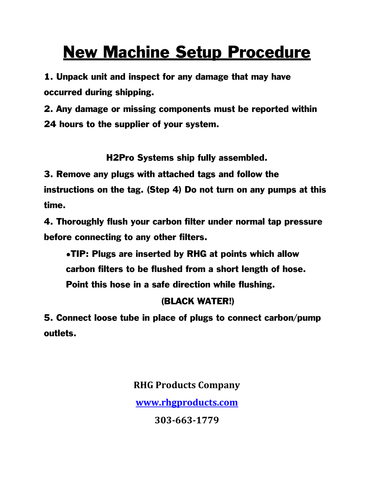## New Machine Setup Procedure

1. Unpack unit and inspect for any damage that may have occurred during shipping.

2. Any damage or missing components must be reported within 24 hours to the supplier of your system.

H2Pro Systems ship fully assembled.

3. Remove any plugs with attached tags and follow the

instructions on the tag. (Step 4) Do not turn on any pumps at this time.

4. Thoroughly flush your carbon filter under normal tap pressure before connecting to any other filters.

●TIP: Plugs are inserted by RHG at points which allow carbon filters to be flushed from a short length of hose. Point this hose in a safe direction while flushing.

#### (BLACK WATER!)

5. Connect loose tube in place of plugs to connect carbon/pump outlets.

> **RHG Products Company [www.rhgproducts.com](http://www.rhgproducts.com/)**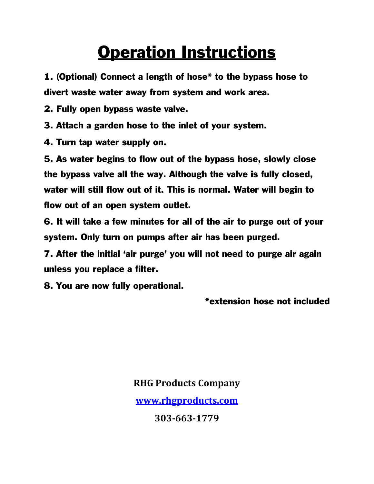### Operation Instructions

1. (Optional) Connect a length of hose\* to the bypass hose to divert waste water away from system and work area.

2. Fully open bypass waste valve.

3. Attach a garden hose to the inlet of your system.

4. Turn tap water supply on.

5. As water begins to flow out of the bypass hose, slowly close the bypass valve all the way. Although the valve is fully closed, water will still flow out of it. This is normal. Water will begin to flow out of an open system outlet.

6. It will take a few minutes for all of the air to purge out of your system. Only turn on pumps after air has been purged.

7. After the initial 'air purge' you will not need to purge air again unless you replace a filter.

8. You are now fully operational.

\*extension hose not included

#### **RHG Products Company**

**[www.rhgproducts.com](http://www.rhgproducts.com/)**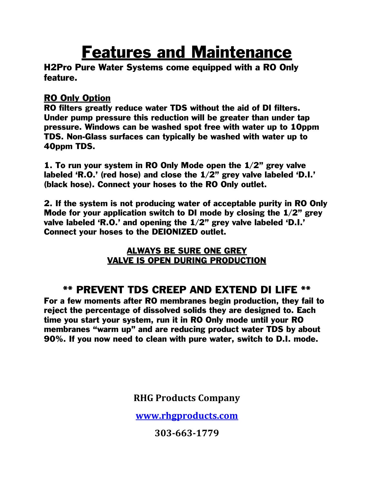### Features and Maintenance

H2Pro Pure Water Systems come equipped with a RO Only feature.

#### RO Only Option

RO filters greatly reduce water TDS without the aid of DI filters. Under pump pressure this reduction will be greater than under tap pressure. Windows can be washed spot free with water up to 10ppm TDS. Non-Glass surfaces can typically be washed with water up to 40ppm TDS.

1. To run your system in RO Only Mode open the 1/2" grey valve labeled 'R.O.' (red hose) and close the 1/2" grey valve labeled 'D.I.' (black hose). Connect your hoses to the RO Only outlet.

2. If the system is not producing water of acceptable purity in RO Only Mode for your application switch to DI mode by closing the 1/2" grey valve labeled 'R.O.' and opening the 1/2" grey valve labeled 'D.I.' Connect your hoses to the DEIONIZED outlet.

#### ALWAYS BE SURE ONE GREY VALVE IS OPEN DURING PRODUCTION

#### \*\* PREVENT TDS CREEP AND EXTEND DI LIFE \*\*

For a few moments after RO membranes begin production, they fail to reject the percentage of dissolved solids they are designed to. Each time you start your system, run it in RO Only mode until your RO membranes "warm up" and are reducing product water TDS by about 90%. If you now need to clean with pure water, switch to D.I. mode.

**RHG Products Company**

**[www.rhgproducts.com](http://www.rhgproducts.com/)**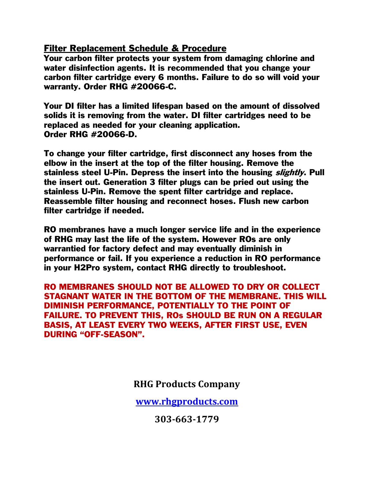#### Filter Replacement Schedule & Procedure

Your carbon filter protects your system from damaging chlorine and water disinfection agents. It is recommended that you change your carbon filter cartridge every 6 months. Failure to do so will void your warranty. Order RHG #20066-C.

Your DI filter has a limited lifespan based on the amount of dissolved solids it is removing from the water. DI filter cartridges need to be replaced as needed for your cleaning application. Order RHG #20066-D.

To change your filter cartridge, first disconnect any hoses from the elbow in the insert at the top of the filter housing. Remove the stainless steel U-Pin. Depress the insert into the housing *slightly*. Pull the insert out. Generation 3 filter plugs can be pried out using the stainless U-Pin. Remove the spent filter cartridge and replace. Reassemble filter housing and reconnect hoses. Flush new carbon filter cartridge if needed.

RO membranes have a much longer service life and in the experience of RHG may last the life of the system. However ROs are only warrantied for factory defect and may eventually diminish in performance or fail. If you experience a reduction in RO performance in your H2Pro system, contact RHG directly to troubleshoot.

RO MEMBRANES SHOULD NOT BE ALLOWED TO DRY OR COLLECT STAGNANT WATER IN THE BOTTOM OF THE MEMBRANE. THIS WILL DIMINISH PERFORMANCE, POTENTIALLY TO THE POINT OF FAILURE. TO PREVENT THIS, ROs SHOULD BE RUN ON A REGULAR BASIS, AT LEAST EVERY TWO WEEKS, AFTER FIRST USE, EVEN DURING "OFF-SEASON".

**RHG Products Company**

**[www.rhgproducts.com](http://www.rhgproducts.com/)**